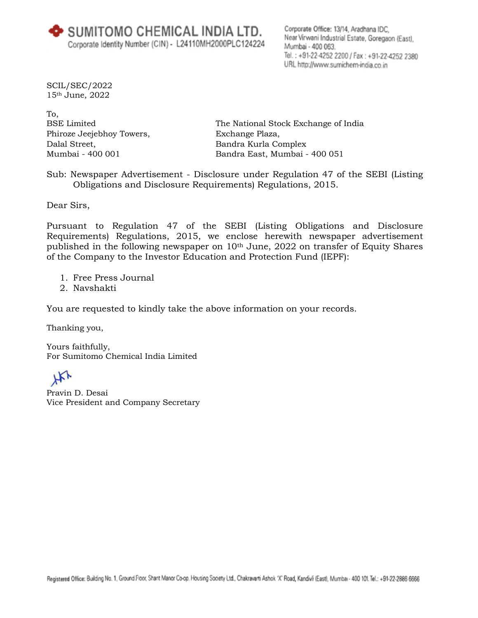SCIL/SEC/2022 15th June, 2022

To, BSE Limited Phiroze Jeejebhoy Towers, Dalal Street, Mumbai - 400 001

The National Stock Exchange of India Exchange Plaza, Bandra Kurla Complex Bandra East, Mumbai - 400 051

Sub: Newspaper Advertisement - Disclosure under Regulation 47 of the SEBI (Listing Obligations and Disclosure Requirements) Regulations, 2015.

Dear Sirs,

Pursuant to Regulation 47 of the SEBI (Listing Obligations and Disclosure Requirements) Regulations, 2015, we enclose herewith newspaper advertisement published in the following newspaper on 10<sup>th</sup> June, 2022 on transfer of Equity Shares of the Company to the Investor Education and Protection Fund (IEPF):

- 1. Free Press Journal
- 2. Navshakti

You are requested to kindly take the above information on your records.

Thanking you,

Yours faithfully, For Sumitomo Chemical India Limited

HX

Pravin D. Desai Vice President and Company Secretary